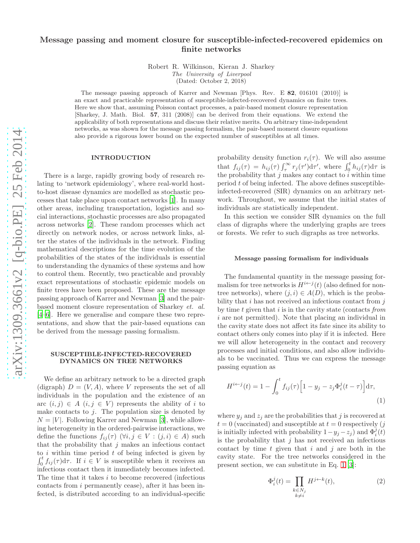# Message passing and moment closure for susceptible-infected-recovered epidemics on finite networks

Robert R. Wilkinson, Kieran J. Sharkey

The University of Liverpool (Dated: October 2, 2018)

The message passing approach of Karrer and Newman [Phys. Rev. E 82, 016101 (2010)] is an exact and practicable representation of susceptible-infected-recovered dynamics on finite trees. Here we show that, assuming Poisson contact processes, a pair-based moment closure representation [Sharkey, J. Math. Biol. 57, 311 (2008)] can be derived from their equations. We extend the applicability of both representations and discuss their relative merits. On arbitrary time-independent networks, as was shown for the message passing formalism, the pair-based moment closure equations also provide a rigorous lower bound on the expected number of susceptibles at all times.

## INTRODUCTION

There is a large, rapidly growing body of research relating to 'network epidemiology', where real-world hostto-host disease dynamics are modelled as stochastic processes that take place upon contact networks [\[1](#page-6-0)]. In many other areas, including transportation, logistics and social interactions, stochastic processes are also propagated across networks [\[2](#page-6-1)]. These random processes which act directly on network nodes, or across network links, alter the states of the individuals in the network. Finding mathematical descriptions for the time evolution of the probabilities of the states of the individuals is essential to understanding the dynamics of these systems and how to control them. Recently, two practicable and provably exact representations of stochastic epidemic models on finite trees have been proposed. These are the message passing approach of Karrer and Newman [\[3\]](#page-6-2) and the pairbased moment closure representation of Sharkey et. al. [\[4](#page-6-3)[–6\]](#page-6-4). Here we generalise and compare these two representations, and show that the pair-based equations can be derived from the message passing formalism.

## SUSCEPTIBLE-INFECTED-RECOVERED DYNAMICS ON TREE NETWORKS

We define an arbitrary network to be a directed graph (digraph)  $D = (V, A)$ , where V represents the set of all individuals in the population and the existence of an arc  $(i, j) \in A$   $(i, j \in V)$  represents the ability of i to make contacts to  $i$ . The population size is denoted by  $N = |V|$ . Following Karrer and Newman [\[3\]](#page-6-2), while allowing heterogeneity in the ordered-pairwise interactions, we define the functions  $f_{ij}(\tau)$   $(\forall i, j \in V : (j, i) \in A)$  such that the probability that  $j$  makes an infectious contact to  $i$  within time period  $t$  of being infected is given by  $\int_0^t f_{ij}(\tau) d\tau$ . If  $i \in V$  is susceptible when it receives an infectious contact then it immediately becomes infected. The time that it takes i to become recovered (infectious contacts from i permanently cease), after it has been infected, is distributed according to an individual-specific

probability density function  $r_i(\tau)$ . We will also assume that  $f_{ij}(\tau) = h_{ij}(\tau) \int_{\tau}^{\infty} r_j(\tau') d\tau'$ , where  $\int_{0}^{t} h_{ij}(\tau) d\tau$  is the probability that j makes any contact to  $\tilde{i}$  within time period t of being infected. The above defines susceptibleinfected-recovered (SIR) dynamics on an arbitrary network. Throughout, we assume that the initial states of individuals are statistically independent.

In this section we consider SIR dynamics on the full class of digraphs where the underlying graphs are trees or forests. We refer to such digraphs as tree networks.

#### Message passing formalism for individuals

The fundamental quantity in the message passing formalism for tree networks is  $H^{i \leftarrow j}(t)$  (also defined for nontree networks), where  $(j, i) \in A(D)$ , which is the probability that  $i$  has not received an infectious contact from  $j$ by time  $t$  given that  $i$  is in the cavity state (contacts from i are not permitted). Note that placing an individual in the cavity state does not affect its fate since its ability to contact others only comes into play if it is infected. Here we will allow heterogeneity in the contact and recovery processes and initial conditions, and also allow individuals to be vaccinated. Thus we can express the message passing equation as

<span id="page-0-0"></span>
$$
H^{i \leftarrow j}(t) = 1 - \int_0^t f_{ij}(\tau) \left[ 1 - y_j - z_j \Phi_i^j(t - \tau) \right] d\tau,
$$
\n(1)

where  $y_i$  and  $z_i$  are the probabilities that j is recovered at  $t = 0$  (vaccinated) and susceptible at  $t = 0$  respectively (j is initially infected with probability  $1 - y_j - z_j$ ) and  $\Phi_i^j(t)$ is the probability that  $j$  has not received an infectious contact by time  $t$  given that  $i$  and  $j$  are both in the cavity state. For the tree networks considered in the present section, we can substitute in Eq. [1](#page-0-0) [\[3](#page-6-2)]:

<span id="page-0-1"></span>
$$
\Phi_i^j(t) = \prod_{\substack{k \in N_j \\ k \neq i}} H^{j \leftarrow k}(t),\tag{2}
$$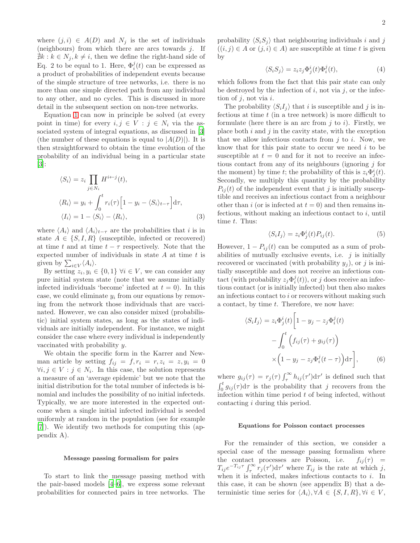where  $(j, i) \in A(D)$  and  $N_j$  is the set of individuals (neighbours) from which there are arcs towards  $j$ . If  $\nexists k : k \in N_i, k \neq i$ , then we define the right-hand side of Eq. 2 to be equal to 1. Here,  $\Phi_i^j(t)$  can be expressed as a product of probabilities of independent events because of the simple structure of tree networks, i.e. there is no more than one simple directed path from any individual to any other, and no cycles. This is discussed in more detail in the subsequent section on non-tree networks.

Equation [1](#page-0-0) can now in principle be solved (at every point in time) for every  $i, j \in V : j \in N_i$  via the associated system of integral equations, as discussed in [\[3](#page-6-2)] (the number of these equations is equal to  $|A(D)|$ ). It is then straightforward to obtain the time evolution of the probability of an individual being in a particular state [\[3\]](#page-6-2):

<span id="page-1-0"></span>
$$
\langle S_i \rangle = z_i \prod_{j \in N_i} H^{i \leftarrow j}(t),
$$
  
\n
$$
\langle R_i \rangle = y_i + \int_0^t r_i(\tau) \Big[ 1 - y_i - \langle S_i \rangle_{t-\tau} \Big] d\tau,
$$
  
\n
$$
\langle I_i \rangle = 1 - \langle S_i \rangle - \langle R_i \rangle,
$$
\n(3)

where  $\langle A_i \rangle$  and  $\langle A_i \rangle_{t-\tau}$  are the probabilities that *i* is in state  $A \in \{S, I, R\}$  (susceptible, infected or recovered) at time t and at time  $t - \tau$  respectively. Note that the expected number of individuals in state  $A$  at time  $t$  is given by  $\sum_{i\in V} \langle A_i \rangle$ .

By setting  $z_i, y_i \in \{0, 1\}$   $\forall i \in V$ , we can consider any pure initial system state (note that we assume initially infected individuals 'become' infected at  $t = 0$ ). In this case, we could eliminate  $y_i$  from our equations by removing from the network those individuals that are vaccinated. However, we can also consider mixed (probabilistic) initial system states, as long as the states of individuals are initially independent. For instance, we might consider the case where every individual is independently vaccinated with probability y.

We obtain the specific form in the Karrer and Newman article by setting  $f_{ij} = f, r_i = r, z_i = z, y_i = 0$  $\forall i, j \in V : j \in N_i$ . In this case, the solution represents a measure of an 'average epidemic' but we note that the initial distribution for the total number of infecteds is binomial and includes the possibility of no initial infecteds. Typically, we are more interested in the expected outcome when a single initial infected individual is seeded uniformly at random in the population (see for example [\[7\]](#page-6-5)). We identify two methods for computing this (appendix A).

#### Message passing formalism for pairs

To start to link the message passing method with the pair-based models [\[4](#page-6-3)[–6](#page-6-4)], we express some relevant probabilities for connected pairs in tree networks. The

probability  $\langle S_iS_j \rangle$  that neighbouring individuals i and j  $((i, j) \in A \text{ or } (j, i) \in A)$  are susceptible at time t is given by

<span id="page-1-1"></span>
$$
\langle S_i S_j \rangle = z_i z_j \Phi_j^i(t) \Phi_i^j(t), \tag{4}
$$

which follows from the fact that this pair state can only be destroyed by the infection of  $i$ , not via  $j$ , or the infection of  $j$ , not via  $i$ .

The probability  $\langle S_i I_i \rangle$  that i is susceptible and j is infectious at time  $t$  (in a tree network) is more difficult to formulate (here there is an arc from  $j$  to  $i$ ). Firstly, we place both  $i$  and  $j$  in the cavity state, with the exception that we allow infectious contacts from  $j$  to  $i$ . Now, we know that for this pair state to occur we need  $i$  to be susceptible at  $t = 0$  and for it not to receive an infectious contact from any of its neighbours (ignoring  $j$  for the moment) by time t; the probability of this is  $z_i \Phi_j^i(t)$ . Secondly, we multiply this quantity by the probability  $P_{ij}(t)$  of the independent event that j is initially susceptible and receives an infectious contact from a neighbour other than i (or is infected at  $t = 0$ ) and then remains infectious, without making an infectious contact to  $i$ , until time  $t$ . Thus:

$$
\langle S_i I_j \rangle = z_i \Phi_j^i(t) P_{ij}(t). \tag{5}
$$

However,  $1 - P_{ij}(t)$  can be computed as a sum of probabilities of mutually exclusive events, i.e.  $j$  is initially recovered or vaccinated (with probability  $y_i$ ), or j is initially susceptible and does not receive an infectious contact (with probability  $z_j \Phi_i^j(t)$ ), or j does receive an infectious contact (or is initially infected) but then also makes an infectious contact to i or recovers without making such a contact, by time  $t$ . Therefore, we now have:

<span id="page-1-2"></span>
$$
\langle S_i I_j \rangle = z_i \Phi_j^i(t) \left[ 1 - y_j - z_j \Phi_i^j(t) - \int_0^t \left( f_{ij}(\tau) + g_{ij}(\tau) \right) \times \left( 1 - y_j - z_j \Phi_i^j(t - \tau) \right) d\tau \right], \tag{6}
$$

where  $g_{ij}(\tau) = r_j(\tau) \int_{\tau}^{\infty} h_{ij}(\tau') d\tau'$  is defined such that  $\int_0^t g_{ij}(\tau) d\tau$  is the probability that j recovers from the infection within time period  $t$  of being infected, without contacting i during this period.

### Equations for Poisson contact processes

For the remainder of this section, we consider a special case of the message passing formalism where the contact processes are Poisson, i.e.  $f_{ij}(\tau)$  =  $T_{ij}e^{-T_{ij}\tau}\int_{\tau}^{\infty}r_j(\tau')d\tau'$  where  $T_{ij}$  is the rate at which j, when it is infected, makes infectious contacts to  $i$ . In this case, it can be shown (see appendix B) that a deterministic time series for  $\langle A_i \rangle$ ,  $\forall A \in \{S, I, R\}$ ,  $\forall i \in V$ ,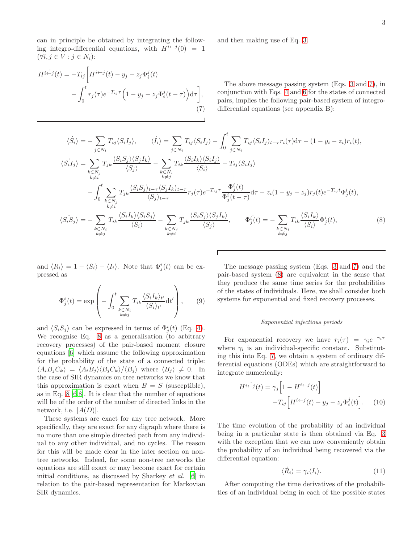can in principle be obtained by integrating the following integro-differential equations, with  $H^{i \leftarrow j}(0) = 1$  $(\forall i, j \in V : j \in N_i)$ :

<span id="page-2-0"></span>
$$
H^{i\leftarrow j}(t) = -T_{ij} \left[ H^{i\leftarrow j}(t) - y_j - z_j \Phi_i^j(t) - \int_0^t r_j(\tau) e^{-T_{ij}\tau} \left( 1 - y_j - z_j \Phi_i^j(t - \tau) \right) d\tau \right],
$$
\n(7)

and then making use of Eq. [3.](#page-1-0)

The above message passing system (Eqs. [3](#page-1-0) and [7\)](#page-2-0), in conjunction with Eqs. [4](#page-1-1) and [6](#page-1-2) for the states of connected pairs, implies the following pair-based system of integrodifferential equations (see appendix B):

<span id="page-2-1"></span>
$$
\langle \dot{S}_i \rangle = -\sum_{j \in N_i} T_{ij} \langle S_i I_j \rangle, \qquad \langle \dot{I}_i \rangle = \sum_{j \in N_i} T_{ij} \langle S_i I_j \rangle - \int_0^t \sum_{j \in N_i} T_{ij} \langle S_i I_j \rangle_{t-\tau} r_i(\tau) d\tau - (1 - y_i - z_i) r_i(t),
$$
  
\n
$$
\langle S_i I_j \rangle = \sum_{\substack{k \in N_j \\ k \neq i}} T_{jk} \frac{\langle S_i S_j \rangle \langle S_j I_k \rangle}{\langle S_j \rangle} - \sum_{\substack{k \in N_i \\ k \neq j}} T_{ik} \frac{\langle S_i I_k \rangle \langle S_i I_j \rangle}{\langle S_i \rangle} - T_{ij} \langle S_i I_j \rangle
$$
  
\n
$$
- \int_0^t \sum_{\substack{k \in N_j \\ k \neq i}} T_{jk} \frac{\langle S_i S_j \rangle_{t-\tau} \langle S_j I_k \rangle_{t-\tau}}{\langle S_j \rangle_{t-\tau}} r_j(\tau) e^{-T_{ij}\tau} \frac{\Phi_j^i(t)}{\Phi_j^i(t-\tau)} d\tau - z_i (1 - y_j - z_j) r_j(t) e^{-T_{ij}t} \Phi_j^i(t),
$$
  
\n
$$
\langle S_i S_j \rangle = - \sum_{\substack{k \in N_i \\ k \neq j}} T_{ik} \frac{\langle S_i I_k \rangle \langle S_i S_j \rangle}{\langle S_i \rangle} - \sum_{\substack{k \in N_j \\ k \neq i}} T_{jk} \frac{\langle S_i S_j \rangle \langle S_j I_k \rangle}{\langle S_j \rangle}, \qquad \Phi_j^i(t) = - \sum_{\substack{k \in N_i \\ k \neq j}} T_{ik} \frac{\langle S_i I_k \rangle}{\langle S_i \rangle} \Phi_j^i(t), \qquad (8)
$$

Г

and  $\langle R_i \rangle = 1 - \langle S_i \rangle - \langle I_i \rangle$ . Note that  $\Phi_j^i(t)$  can be expressed as

$$
\Phi_j^i(t) = \exp\left(-\int_0^t \sum_{\substack{k \in N_i \\ k \neq j}} T_{ik} \frac{\langle S_i I_k \rangle_{t'}}{\langle S_i \rangle_{t'}} dt'\right),\qquad(9)
$$

and  $\langle S_i S_j \rangle$  can be expressed in terms of  $\Phi_j^i(t)$  (Eq. [4\)](#page-1-1). We recognise Eq. [8](#page-2-1) as a generalisation (to arbitrary recovery processes) of the pair-based moment closure equations [\[6\]](#page-6-4) which assume the following approximation for the probability of the state of a connected triple:  $\langle A_i B_j C_k \rangle = \langle A_i B_j \rangle \langle B_j C_k \rangle / \langle B_j \rangle$  where  $\langle B_j \rangle \neq 0$ . In the case of SIR dynamics on tree networks we know that this approximation is exact when  $B = S$  (susceptible), as in Eq.  $8 \times 6, 8$  $8 \times 6, 8$ . It is clear that the number of equations will be of the order of the number of directed links in the network, i.e.  $|A(D)|$ .

These systems are exact for any tree network. More specifically, they are exact for any digraph where there is no more than one simple directed path from any individual to any other individual, and no cycles. The reason for this will be made clear in the later section on nontree networks. Indeed, for some non-tree networks the equations are still exact or may become exact for certain initial conditions, as discussed by Sharkey et al. [\[6\]](#page-6-4) in relation to the pair-based representation for Markovian SIR dynamics.

The message passing system (Eqs. [3](#page-1-0) and [7\)](#page-2-0) and the pair-based system [\(8\)](#page-2-1) are equivalent in the sense that they produce the same time series for the probabilities of the states of individuals. Here, we shall consider both systems for exponential and fixed recovery processes.

#### Exponential infectious periods

For exponential recovery we have  $r_i(\tau) = \gamma_i e^{-\gamma_i \tau}$ where  $\gamma_i$  is an individual-specific constant. Substituting this into Eq. [7,](#page-2-0) we obtain a system of ordinary differential equations (ODEs) which are straightforward to integrate numerically:

<span id="page-2-2"></span>
$$
H^{i \leftarrow j}(t) = \gamma_j \left[ 1 - H^{i \leftarrow j}(t) \right] -T_{ij} \left[ H^{i \leftarrow j}(t) - y_j - z_j \Phi_i^j(t) \right].
$$
 (10)

The time evolution of the probability of an individual being in a particular state is then obtained via Eq. [3](#page-1-0) with the exception that we can now conveniently obtain the probability of an individual being recovered via the differential equation:

$$
\langle \dot{R_i} \rangle = \gamma_i \langle I_i \rangle. \tag{11}
$$

After computing the time derivatives of the probabilities of an individual being in each of the possible states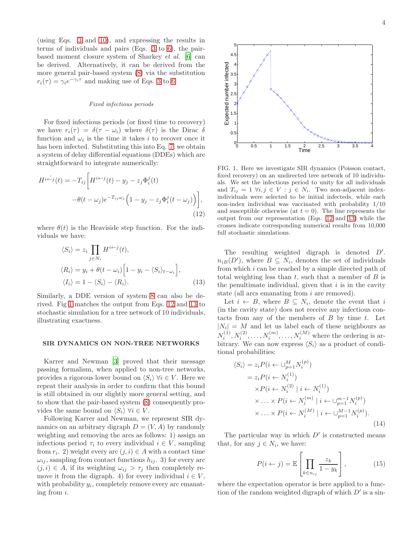(using Eqs. [3](#page-1-0) and [10\)](#page-2-2), and expressing the results in terms of individuals and pairs (Eqs. [3](#page-1-0) to [6\)](#page-1-2), the pairbased moment closure system of Sharkey et al. [\[6](#page-6-4)] can be derived. Alternatively, it can be derived from the more general pair-based system [\(8\)](#page-2-1) via the substitution  $r_i(\tau) = \gamma_i e^{-\gamma_i \tau}$  and making use of Eqs. [3](#page-1-0) to [6.](#page-1-2)

#### Fixed infectious periods

For fixed infectious periods (or fixed time to recovery) we have  $r_i(\tau) = \delta(\tau - \omega_i)$  where  $\delta(\tau)$  is the Dirac  $\delta$ function and  $\omega_i$  is the time it takes i to recover once it has been infected. Substituting this into Eq. [7,](#page-2-0) we obtain a system of delay differential equations (DDEs) which are straightforward to integrate numerically:

<span id="page-3-1"></span>
$$
H^{i \leftarrow j}(t) = -T_{ij} \left[ H^{i \leftarrow j}(t) - y_j - z_j \Phi_i^j(t) -\theta(t - \omega_j) e^{-T_{ij}\omega_j} \left( 1 - y_j - z_j \Phi_i^j(t - \omega_j) \right) \right],
$$
\n(12)

where  $\theta(t)$  is the Heaviside step function. For the individuals we have:

<span id="page-3-2"></span>
$$
\langle S_i \rangle = z_i \prod_{j \in N_i} H^{i \leftarrow j}(t),
$$
  
\n
$$
\langle R_i \rangle = y_i + \theta(t - \omega_i) \Big[ 1 - y_i - \langle S_i \rangle_{t - \omega_i} \Big],
$$
  
\n
$$
\langle I_i \rangle = 1 - \langle S_i \rangle - \langle R_i \rangle.
$$
\n(13)

Similarly, a DDE version of system [8](#page-2-1) can also be derived. Fig [1](#page-3-0) matches the output from Eqs. [12](#page-3-1) and [13](#page-3-2) to stochastic simulation for a tree network of 10 individuals, illustrating exactness.

### SIR DYNAMICS ON NON-TREE NETWORKS

Karrer and Newman [\[3](#page-6-2)] proved that their message passing formalism, when applied to non-tree networks, provides a rigorous lower bound on  $\langle S_i \rangle$   $\forall i \in V$ . Here we repeat their analysis in order to confirm that this bound is still obtained in our slightly more general setting, and to show that the pair-based system [\(8\)](#page-2-1) consequently provides the same bound on  $\langle S_i \rangle \ \forall i \in V$ .

Following Karrer and Newman, we represent SIR dynamics on an arbitrary digraph  $D = (V, A)$  by randomly weighting and removing the arcs as follows: 1) assign an infectious period  $\tau_i$  to every individual  $i \in V$ , sampling from  $r_i$ . 2) weight every arc  $(j, i) \in A$  with a contact time  $\omega_{ij}$ , sampling from contact functions  $h_{ij}$ . 3) for every arc  $(j, i) \in A$ , if its weighting  $\omega_{ij} > \tau_j$  then completely remove it from the digraph. 4) for every individual  $i \in V$ , with probability  $y_i$ , completely remove every arc emanating from i.



<span id="page-3-0"></span>FIG. 1. Here we investigate SIR dynamics (Poisson contact, fixed recovery) on an undirected tree network of 10 individuals. We set the infectious period to unity for all individuals and  $T_{ij} = 1 \ \forall i, j \in V : j \in N_i$ . Two non-adjacent indexindividuals were selected to be initial infecteds, while each non-index individual was vaccinated with probability 1/10 and susceptible otherwise (at  $t = 0$ ). The line represents the output from our representation (Eqs. [12](#page-3-1) and [13\)](#page-3-2) while the crosses indicate corresponding numerical results from 10,000 full stochastic simulations.

The resulting weighted digraph is denoted  $D'$ .  $n_{iB}(D')$ , where  $B \subseteq N_i$ , denotes the set of individuals from which i can be reached by a simple directed path of total weighting less than t, such that a member of  $B$  is the penultimate individual, given that  $i$  is in the cavity state (all arcs emanating from i are removed).

Let  $i \leftarrow B$ , where  $B \subseteq N_i$ , denote the event that i (in the cavity state) does not receive any infectious contacts from any of the members of  $B$  by time  $t$ . Let  $|N_i| = M$  and let us label each of these neighbours as  $N_i^{(1)}, N_i^{(2)}, \ldots, N_i^{(m)}, \ldots, N_i^{(M)}$  where the ordering is arbitrary. We can now express  $\langle S_i \rangle$  as a product of conditional probabilities:

<span id="page-3-4"></span>
$$
\langle S_i \rangle = z_i P(i \leftarrow \cup_{p=1}^{M} N_i^{(p)})
$$
  
=  $z_i P(i \leftarrow N_i^{(1)})$   
 $\times P(i \leftarrow N_i^{(2)} | i \leftarrow N_i^{(1)})$   
 $\times \dots \times P(i \leftarrow N_i^{(m)} | i \leftarrow \cup_{p=1}^{m-1} N_i^{(p)})$   
 $\times \dots \times P(i \leftarrow N_i^{(M)} | i \leftarrow \cup_{p=1}^{M-1} N_i^{(p)})$ . (14)

The particular way in which  $D'$  is constructed means that, for any  $j \in N_i$ , we have:

<span id="page-3-3"></span>
$$
P(i \leftarrow j) = \mathbb{E}\left[\prod_{k \in n_{ij}} \frac{z_k}{1 - y_k}\right],\tag{15}
$$

where the expectation operator is here applied to a function of the random weighted digraph of which  $D'$  is a sin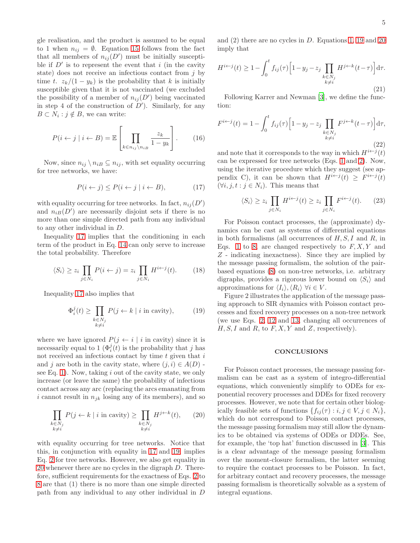gle realisation, and the product is assumed to be equal to 1 when  $n_{ij} = \emptyset$ . Equation [15](#page-3-3) follows from the fact that all members of  $n_{ij}(D')$  must be initially susceptible if  $D'$  is to represent the event that i (in the cavity state) does not receive an infectious contact from  $j$  by time t.  $z_k/(1-y_k)$  is the probability that k is initially susceptible given that it is not vaccinated (we excluded the possibility of a member of  $n_{ij}(D')$  being vaccinated in step 4 of the construction of  $D'$ ). Similarly, for any  $B \subset N_i : j \notin B$ , we can write:

$$
P(i \leftarrow j \mid i \leftarrow B) = \mathbb{E}\left[\prod_{k \in n_{ij} \setminus n_{iB}} \frac{z_k}{1 - y_k}\right].
$$
 (16)

Now, since  $n_{ij} \setminus n_{iB} \subseteq n_{ij}$ , with set equality occurring for tree networks, we have:

<span id="page-4-0"></span>
$$
P(i \leftarrow j) \le P(i \leftarrow j \mid i \leftarrow B), \tag{17}
$$

with equality occurring for tree networks. In fact,  $n_{ij}(D')$ and  $n_{iB}(D')$  are necessarily disjoint sets if there is no more than one simple directed path from any individual to any other individual in D.

Inequality [17](#page-4-0) implies that the conditioning in each term of the product in Eq. [14](#page-3-4) can only serve to increase the total probability. Therefore

$$
\langle S_i \rangle \ge z_i \prod_{j \in N_i} P(i \leftarrow j) = z_i \prod_{j \in N_i} H^{i \leftarrow j}(t). \tag{18}
$$

Inequality [17](#page-4-0) also implies that

<span id="page-4-1"></span>
$$
\Phi_i^j(t) \ge \prod_{\substack{k \in N_j \\ k \ne i}} P(j \leftarrow k \mid i \text{ in cavity}), \quad (19)
$$

where we have ignored  $P(j \leftarrow i | i \text{ in cavity})$  since it is necessarily equal to 1  $(\Phi_i^j(t))$  is the probability that j has not received an infectious contact by time  $t$  given that  $i$ and j are both in the cavity state, where  $(j, i) \in A(D)$ . see Eq. [1\)](#page-0-0). Now, taking  $i$  out of the cavity state, we only increase (or leave the same) the probability of infectious contact across any arc (replacing the arcs emanating from i cannot result in  $n_{ik}$  losing any of its members), and so

<span id="page-4-2"></span>
$$
\prod_{\substack{k \in N_j \\ k \neq i}} P(j \leftarrow k \mid i \text{ in cavity}) \ge \prod_{\substack{k \in N_j \\ k \neq i}} H^{j \leftarrow k}(t), \qquad (20)
$$

with equality occurring for tree networks. Notice that this, in conjunction with equality in [17](#page-4-0) and [19,](#page-4-1) implies Eq. [2](#page-0-1) for tree networks. However, we also get equality in [20](#page-4-2) whenever there are no cycles in the digraph D. Therefore, sufficient requirements for the exactness of Eqs. [2](#page-0-1) to [8](#page-2-1) are that (1) there is no more than one simple directed path from any individual to any other individual in D

and (2) there are no cycles in D. Equations [1,](#page-0-0) [19](#page-4-1) and [20](#page-4-2) imply that

<span id="page-4-3"></span>
$$
H^{i \leftarrow j}(t) \ge 1 - \int_0^t f_{ij}(\tau) \left[ 1 - y_j - z_j \prod_{\substack{k \in N_j \\ k \ne i}} H^{j \leftarrow k}(t - \tau) \right] d\tau.
$$
\n(21)

Following Karrer and Newman [\[3](#page-6-2)], we define the function:

$$
F^{i \leftarrow j}(t) = 1 - \int_0^t f_{ij}(\tau) \left[ 1 - y_j - z_j \prod_{\substack{k \in N_j \\ k \neq i}} F^{j \leftarrow k}(t - \tau) \right] d\tau,
$$
\n(22)

and note that it corresponds to the way in which  $H^{i \leftarrow j}(t)$ can be expressed for tree networks (Eqs. [1](#page-0-0) and [2\)](#page-0-1). Now, using the iterative procedure which they suggest (see appendix C), it can be shown that  $H^{i \leftarrow j}(t) \geq F^{i \leftarrow j}(t)$  $(\forall i, j, t : j \in N_i)$ . This means that

$$
\langle S_i \rangle \ge z_i \prod_{j \in N_i} H^{i \leftarrow j}(t) \ge z_i \prod_{j \in N_i} F^{i \leftarrow j}(t). \tag{23}
$$

For Poisson contact processes, the (approximate) dynamics can be cast as systems of differential equations in both formalisms (all occurrences of  $H, S, I$  and  $R$ , in Eqs. [1](#page-0-0) to [8,](#page-2-1) are changed respectively to  $F, X, Y$  and Z - indicating inexactness). Since they are implied by the message passing formalism, the solution of the pairbased equations [\(8\)](#page-2-1) on non-tree networks, i.e. arbitrary digraphs, provides a rigorous lower bound on  $\langle S_i \rangle$  and approximations for  $\langle I_i \rangle, \langle R_i \rangle$   $\forall i \in V$ .

Figure 2 illustrates the application of the message passing approach to SIR dynamics with Poisson contact processes and fixed recovery processes on a non-tree network (we use Eqs. [2,](#page-0-1) [12](#page-3-1) and [13,](#page-3-2) changing all occurrences of  $H, S, I$  and  $R$ , to  $F, X, Y$  and  $Z$ , respectively).

## **CONCLUSIONS**

For Poisson contact processes, the message passing formalism can be cast as a system of integro-differential equations, which conveniently simplify to ODEs for exponential recovery processes and DDEs for fixed recovery processes. However, we note that for certain other biologically feasible sets of functions  $\{f_{ij}(\tau) : i, j \in V, j \in N_i\},\$ which do not correspond to Poisson contact processes, the message passing formalism may still allow the dynamics to be obtained via systems of ODEs or DDEs. See, for example, the 'top hat' function discussed in [\[3\]](#page-6-2). This is a clear advantage of the message passing formalism over the moment-closure formalism, the latter seeming to require the contact processes to be Poisson. In fact, for arbitrary contact and recovery processes, the message passing formalism is theoretically solvable as a system of integral equations.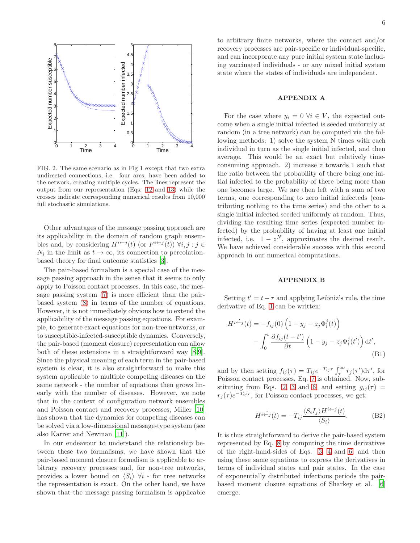

FIG. 2. The same scenario as in Fig 1 except that two extra undirected connections, i.e. four arcs, have been added to the network, creating multiple cycles. The lines represent the output from our representation (Eqs. [12](#page-3-1) and [13\)](#page-3-2) while the crosses indicate corresponding numerical results from 10,000 full stochastic simulations.

Other advantages of the message passing approach are its applicability in the domain of random graph ensembles and, by considering  $H^{i \leftarrow j}(t)$  (or  $F^{i \leftarrow j}(t)$ )  $\forall i, j : j \in$  $N_i$  in the limit as  $t \to \infty$ , its connection to percolationbased theory for final outcome statistics [\[3\]](#page-6-2).

The pair-based formalism is a special case of the message passing approach in the sense that it seems to only apply to Poisson contact processes. In this case, the message passing system [\(7\)](#page-2-0) is more efficient than the pairbased system [\(8\)](#page-2-1) in terms of the number of equations. However, it is not immediately obvious how to extend the applicability of the message passing equations. For example, to generate exact equations for non-tree networks, or to susceptible-infected-susceptible dynamics. Conversely, the pair-based (moment closure) representation can allow both of these extensions in a straightforward way [\[8](#page-6-6)[,9\]](#page-6-7). Since the physical meaning of each term in the pair-based system is clear, it is also straightforward to make this system applicable to multiple competing diseases on the same network - the number of equations then grows linearly with the number of diseases. However, we note that in the context of configuration network ensembles and Poisson contact and recovery processes, Miller [\[10](#page-6-8)] has shown that the dynamics for competing diseases can be solved via a low-dimensional message-type system (see also Karrer and Newman [\[11\]](#page-6-9)).

In our endeavour to understand the relationship between these two formalisms, we have shown that the pair-based moment closure formalism is applicable to arbitrary recovery processes and, for non-tree networks, provides a lower bound on  $\langle S_i \rangle$   $\forall i$  - for tree networks the representation is exact. On the other hand, we have shown that the message passing formalism is applicable

to arbitrary finite networks, where the contact and/or recovery processes are pair-specific or individual-specific, and can incorporate any pure initial system state including vaccinated individuals - or any mixed initial system state where the states of individuals are independent.

## APPENDIX A

For the case where  $y_i = 0 \ \forall i \in V$ , the expected outcome when a single initial infected is seeded uniformly at random (in a tree network) can be computed via the following methods: 1) solve the system N times with each individual in turn as the single initial infected, and then average. This would be an exact but relatively timeconsuming approach. 2) increase  $z$  towards 1 such that the ratio between the probability of there being one initial infected to the probability of there being more than one becomes large. We are then left with a sum of two terms, one corresponding to zero initial infecteds (contributing nothing to the time series) and the other to a single initial infected seeded uniformly at random. Thus, dividing the resulting time series (expected number infected) by the probability of having at least one initial infected, i.e.  $1 - z^N$ , approximates the desired result. We have achieved considerable success with this second approach in our numerical computations.

#### APPENDIX B

Setting  $t' = t - \tau$  and applying Leibniz's rule, the time derivative of Eq. [1](#page-0-0) can be written:

$$
H^{i \leftarrow j}(t) = -f_{ij}(0) \left(1 - y_j - z_j \Phi_i^j(t)\right)
$$

$$
- \int_0^t \frac{\partial f_{ij}(t - t')}{\partial t} \left(1 - y_j - z_j \Phi_i^j(t')\right) dt',
$$
(B1)

and by then setting  $f_{ij}(\tau) = T_{ij} e^{-T_{ij}\tau} \int_{\tau}^{\infty} r_j(\tau') d\tau'$ , for Poisson contact processes, Eq. [7](#page-2-0) is obtained. Now, sub-stituting from Eqs. [2,](#page-0-1) [3](#page-1-0) and [6,](#page-1-2) and setting  $g_{ij}(\tau)$  =  $r_j(\tau)e^{-T_{ij}\tau}$ , for Poisson contact processes, we get:

$$
H^{i \leftarrow j}(t) = -T_{ij} \frac{\langle S_i I_j \rangle H^{i \leftarrow j}(t)}{\langle S_i \rangle}.
$$
 (B2)

It is thus straightforward to derive the pair-based system represented by Eq. [8](#page-2-1) by computing the time derivatives of the right-hand-sides of Eqs. [3,](#page-1-0) [4](#page-1-1) and [6,](#page-1-2) and then using these same equations to express the derivatives in terms of individual states and pair states. In the case of exponentially distributed infectious periods the pairbased moment closure equations of Sharkey et al. [\[6](#page-6-4)] emerge.